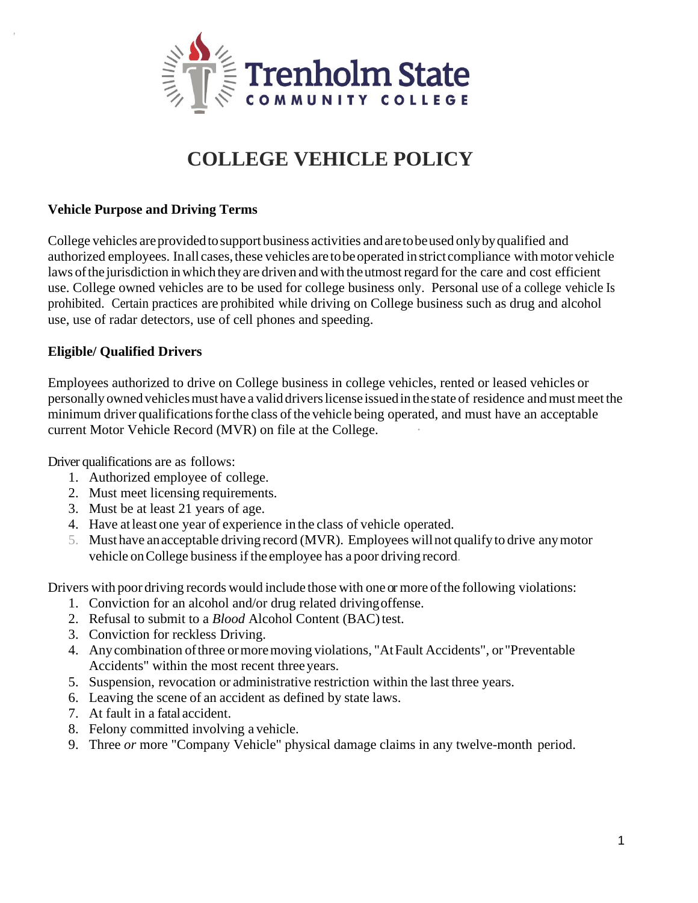

# **COLLEGE VEHICLE POLICY**

#### **Vehicle Purpose and Driving Terms**

,

College vehicles areprovidedtosupport business activities andaretobeused onlybyqualified and authorized employees. Inall cases, these vehicles are to be operated in strict compliance with motor vehicle laws of the jurisdiction in which they are driven and with the utmost regard for the care and cost efficient use. College owned vehicles are to be used for college business only. Personal use of a college vehicle Is prohibited. Certain practices are prohibited while driving on College business such as drug and alcohol use, use of radar detectors, use of cell phones and speeding.

#### **Eligible/ Qualified Drivers**

Employees authorized to drive on College business in college vehicles, rented or leased vehicles or personally owned vehicles must have a valid drivers license issued in the state of residence and must meet the minimum driver qualifications for the class of the vehicle being operated, and must have an acceptable current Motor Vehicle Record (MVR) on file at the College.

Driver qualifications are as follows:

- 1. Authorized employee of college.
- 2. Must meet licensing requirements.
- 3. Must be at least 21 years of age.
- 4. Have atleast one year of experience in the class of vehicle operated.
- 5. Must have anacceptable driving record (MVR). Employees willnot qualify to drive anymotor vehicle onCollege business if the employee has a poor driving record.

Drivers with poor driving records would include those with one or more ofthe following violations:

- 1. Conviction for an alcohol and/or drug related drivingoffense.
- 2. Refusal to submit to a *Blood* Alcohol Content (BAC)test.
- 3. Conviction for reckless Driving.
- 4. Anycombination ofthree ormoremoving violations, "AtFault Accidents", or "Preventable Accidents" within the most recent threeyears.
- 5. Suspension, revocation or administrative restriction within the last three years.
- 6. Leaving the scene of an accident as defined by state laws.
- 7. At fault in a fatal accident.
- 8. Felony committed involving a vehicle.
- 9. Three *or* more "Company Vehicle" physical damage claims in any twelve-month period.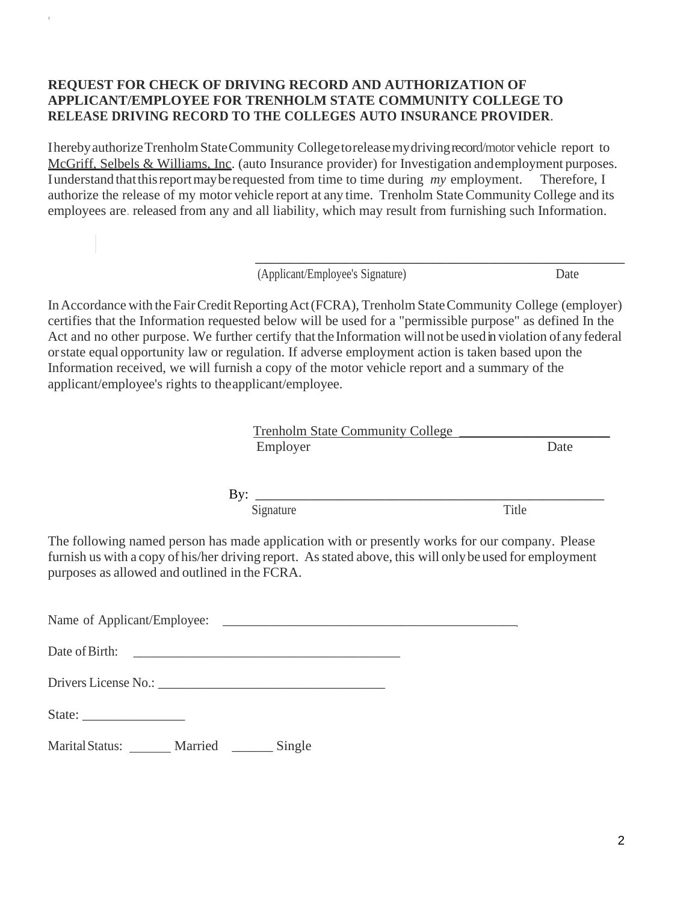### **REQUEST FOR CHECK OF DRIVING RECORD AND AUTHORIZATION OF APPLICANT/EMPLOYEE FOR TRENHOLM STATE COMMUNITY COLLEGE TO RELEASE DRIVING RECORD TO THE COLLEGES AUTO INSURANCE PROVIDER**.

IherebyauthorizeTrenholmStateCommunity Collegetoreleasemydrivingrecord/motor vehicle report to McGriff, Selbels & Williams, Inc. (auto Insurance provider) for Investigation andemployment purposes. Iunderstand thatthisreportmayberequested from time to time during *my* employment. Therefore, I authorize the release of my motor vehicle report at any time. Trenholm State Community College and its employees are. released from any and all liability, which may result from furnishing such Information.

(Applicant/Employee's Signature) Date

\_\_\_\_\_\_\_\_\_\_\_\_\_\_\_\_\_\_\_\_\_\_\_\_\_\_\_\_\_\_\_\_\_\_\_\_\_\_\_\_\_\_\_\_\_\_\_\_\_\_\_\_\_\_

In Accordance with the Fair Credit Reporting Act (FCRA), Trenholm State Community College (employer) certifies that the Information requested below will be used for a "permissible purpose" as defined In the Act and no other purpose. We further certify that the Information will not be used in violation of any federal orstate equal opportunity law or regulation. If adverse employment action is taken based upon the Information received, we will furnish a copy of the motor vehicle report and a summary of the applicant/employee's rights to theapplicant/employee.

| <b>Trenholm State Community College</b>                                                                                                                                                                     |
|-------------------------------------------------------------------------------------------------------------------------------------------------------------------------------------------------------------|
| Date                                                                                                                                                                                                        |
|                                                                                                                                                                                                             |
| Title                                                                                                                                                                                                       |
| The following named person has made application with or presently works for our company. Please<br>furnish us with a copy of his/her driving report. As stated above, this will only be used for employment |
|                                                                                                                                                                                                             |
|                                                                                                                                                                                                             |
|                                                                                                                                                                                                             |
|                                                                                                                                                                                                             |
|                                                                                                                                                                                                             |
|                                                                                                                                                                                                             |